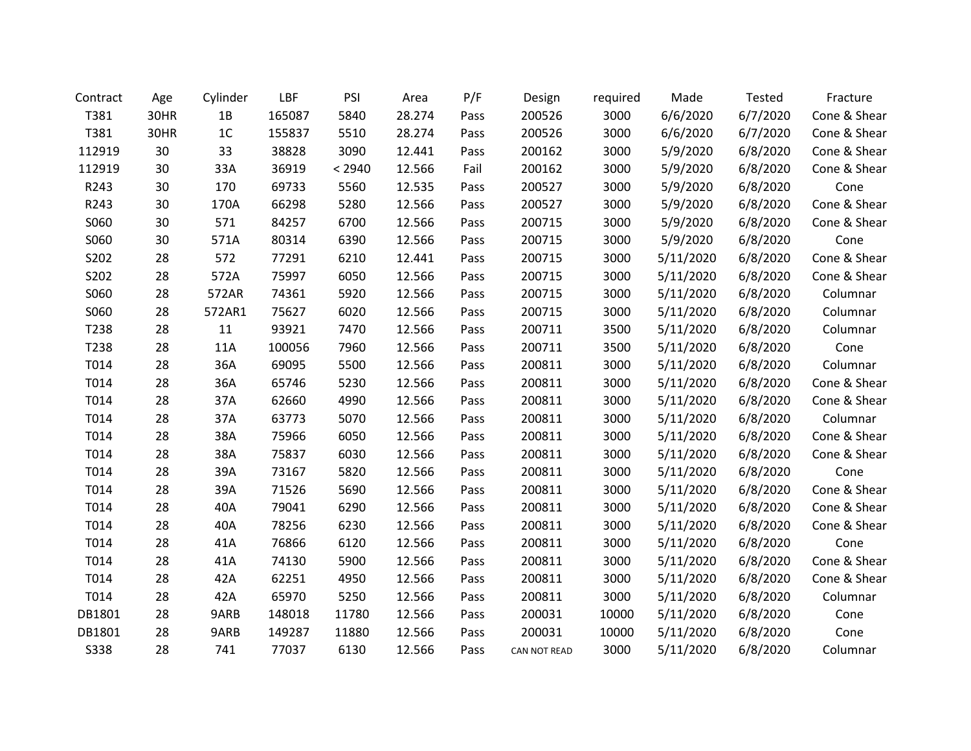| Contract    | Age  | Cylinder       | LBF    | PSI    | Area   | P/F  | Design       | required | Made      | <b>Tested</b> | Fracture     |
|-------------|------|----------------|--------|--------|--------|------|--------------|----------|-----------|---------------|--------------|
| T381        | 30HR | 1B             | 165087 | 5840   | 28.274 | Pass | 200526       | 3000     | 6/6/2020  | 6/7/2020      | Cone & Shear |
| T381        | 30HR | 1 <sup>C</sup> | 155837 | 5510   | 28.274 | Pass | 200526       | 3000     | 6/6/2020  | 6/7/2020      | Cone & Shear |
| 112919      | 30   | 33             | 38828  | 3090   | 12.441 | Pass | 200162       | 3000     | 5/9/2020  | 6/8/2020      | Cone & Shear |
| 112919      | 30   | 33A            | 36919  | < 2940 | 12.566 | Fail | 200162       | 3000     | 5/9/2020  | 6/8/2020      | Cone & Shear |
| R243        | 30   | 170            | 69733  | 5560   | 12.535 | Pass | 200527       | 3000     | 5/9/2020  | 6/8/2020      | Cone         |
| R243        | 30   | 170A           | 66298  | 5280   | 12.566 | Pass | 200527       | 3000     | 5/9/2020  | 6/8/2020      | Cone & Shear |
| S060        | 30   | 571            | 84257  | 6700   | 12.566 | Pass | 200715       | 3000     | 5/9/2020  | 6/8/2020      | Cone & Shear |
| S060        | 30   | 571A           | 80314  | 6390   | 12.566 | Pass | 200715       | 3000     | 5/9/2020  | 6/8/2020      | Cone         |
| S202        | 28   | 572            | 77291  | 6210   | 12.441 | Pass | 200715       | 3000     | 5/11/2020 | 6/8/2020      | Cone & Shear |
| S202        | 28   | 572A           | 75997  | 6050   | 12.566 | Pass | 200715       | 3000     | 5/11/2020 | 6/8/2020      | Cone & Shear |
| S060        | 28   | 572AR          | 74361  | 5920   | 12.566 | Pass | 200715       | 3000     | 5/11/2020 | 6/8/2020      | Columnar     |
| S060        | 28   | 572AR1         | 75627  | 6020   | 12.566 | Pass | 200715       | 3000     | 5/11/2020 | 6/8/2020      | Columnar     |
| T238        | 28   | 11             | 93921  | 7470   | 12.566 | Pass | 200711       | 3500     | 5/11/2020 | 6/8/2020      | Columnar     |
| T238        | 28   | 11A            | 100056 | 7960   | 12.566 | Pass | 200711       | 3500     | 5/11/2020 | 6/8/2020      | Cone         |
| T014        | 28   | 36A            | 69095  | 5500   | 12.566 | Pass | 200811       | 3000     | 5/11/2020 | 6/8/2020      | Columnar     |
| T014        | 28   | 36A            | 65746  | 5230   | 12.566 | Pass | 200811       | 3000     | 5/11/2020 | 6/8/2020      | Cone & Shear |
| T014        | 28   | 37A            | 62660  | 4990   | 12.566 | Pass | 200811       | 3000     | 5/11/2020 | 6/8/2020      | Cone & Shear |
| T014        | 28   | 37A            | 63773  | 5070   | 12.566 | Pass | 200811       | 3000     | 5/11/2020 | 6/8/2020      | Columnar     |
| T014        | 28   | 38A            | 75966  | 6050   | 12.566 | Pass | 200811       | 3000     | 5/11/2020 | 6/8/2020      | Cone & Shear |
| T014        | 28   | 38A            | 75837  | 6030   | 12.566 | Pass | 200811       | 3000     | 5/11/2020 | 6/8/2020      | Cone & Shear |
| T014        | 28   | 39A            | 73167  | 5820   | 12.566 | Pass | 200811       | 3000     | 5/11/2020 | 6/8/2020      | Cone         |
| T014        | 28   | 39A            | 71526  | 5690   | 12.566 | Pass | 200811       | 3000     | 5/11/2020 | 6/8/2020      | Cone & Shear |
| T014        | 28   | 40A            | 79041  | 6290   | 12.566 | Pass | 200811       | 3000     | 5/11/2020 | 6/8/2020      | Cone & Shear |
| T014        | 28   | 40A            | 78256  | 6230   | 12.566 | Pass | 200811       | 3000     | 5/11/2020 | 6/8/2020      | Cone & Shear |
| T014        | 28   | 41A            | 76866  | 6120   | 12.566 | Pass | 200811       | 3000     | 5/11/2020 | 6/8/2020      | Cone         |
| T014        | 28   | 41A            | 74130  | 5900   | 12.566 | Pass | 200811       | 3000     | 5/11/2020 | 6/8/2020      | Cone & Shear |
| T014        | 28   | 42A            | 62251  | 4950   | 12.566 | Pass | 200811       | 3000     | 5/11/2020 | 6/8/2020      | Cone & Shear |
| T014        | 28   | 42A            | 65970  | 5250   | 12.566 | Pass | 200811       | 3000     | 5/11/2020 | 6/8/2020      | Columnar     |
| DB1801      | 28   | 9ARB           | 148018 | 11780  | 12.566 | Pass | 200031       | 10000    | 5/11/2020 | 6/8/2020      | Cone         |
| DB1801      | 28   | 9ARB           | 149287 | 11880  | 12.566 | Pass | 200031       | 10000    | 5/11/2020 | 6/8/2020      | Cone         |
| <b>S338</b> | 28   | 741            | 77037  | 6130   | 12.566 | Pass | CAN NOT READ | 3000     | 5/11/2020 | 6/8/2020      | Columnar     |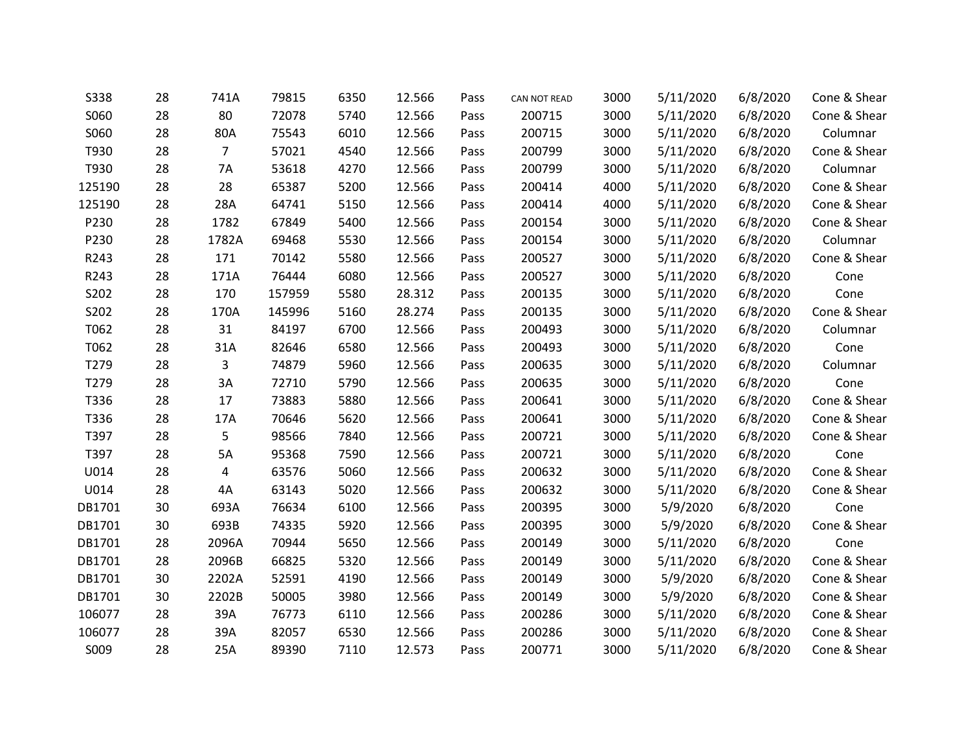| <b>S338</b> | 28 | 741A           | 79815  | 6350 | 12.566 | Pass | CAN NOT READ | 3000 | 5/11/2020 | 6/8/2020 | Cone & Shear |
|-------------|----|----------------|--------|------|--------|------|--------------|------|-----------|----------|--------------|
| S060        | 28 | 80             | 72078  | 5740 | 12.566 | Pass | 200715       | 3000 | 5/11/2020 | 6/8/2020 | Cone & Shear |
| S060        | 28 | 80A            | 75543  | 6010 | 12.566 | Pass | 200715       | 3000 | 5/11/2020 | 6/8/2020 | Columnar     |
| T930        | 28 | $\overline{7}$ | 57021  | 4540 | 12.566 | Pass | 200799       | 3000 | 5/11/2020 | 6/8/2020 | Cone & Shear |
| T930        | 28 | 7A             | 53618  | 4270 | 12.566 | Pass | 200799       | 3000 | 5/11/2020 | 6/8/2020 | Columnar     |
| 125190      | 28 | 28             | 65387  | 5200 | 12.566 | Pass | 200414       | 4000 | 5/11/2020 | 6/8/2020 | Cone & Shear |
| 125190      | 28 | 28A            | 64741  | 5150 | 12.566 | Pass | 200414       | 4000 | 5/11/2020 | 6/8/2020 | Cone & Shear |
| P230        | 28 | 1782           | 67849  | 5400 | 12.566 | Pass | 200154       | 3000 | 5/11/2020 | 6/8/2020 | Cone & Shear |
| P230        | 28 | 1782A          | 69468  | 5530 | 12.566 | Pass | 200154       | 3000 | 5/11/2020 | 6/8/2020 | Columnar     |
| R243        | 28 | 171            | 70142  | 5580 | 12.566 | Pass | 200527       | 3000 | 5/11/2020 | 6/8/2020 | Cone & Shear |
| R243        | 28 | 171A           | 76444  | 6080 | 12.566 | Pass | 200527       | 3000 | 5/11/2020 | 6/8/2020 | Cone         |
| S202        | 28 | 170            | 157959 | 5580 | 28.312 | Pass | 200135       | 3000 | 5/11/2020 | 6/8/2020 | Cone         |
| S202        | 28 | 170A           | 145996 | 5160 | 28.274 | Pass | 200135       | 3000 | 5/11/2020 | 6/8/2020 | Cone & Shear |
| T062        | 28 | 31             | 84197  | 6700 | 12.566 | Pass | 200493       | 3000 | 5/11/2020 | 6/8/2020 | Columnar     |
| T062        | 28 | 31A            | 82646  | 6580 | 12.566 | Pass | 200493       | 3000 | 5/11/2020 | 6/8/2020 | Cone         |
| T279        | 28 | 3              | 74879  | 5960 | 12.566 | Pass | 200635       | 3000 | 5/11/2020 | 6/8/2020 | Columnar     |
| T279        | 28 | 3A             | 72710  | 5790 | 12.566 | Pass | 200635       | 3000 | 5/11/2020 | 6/8/2020 | Cone         |
| T336        | 28 | 17             | 73883  | 5880 | 12.566 | Pass | 200641       | 3000 | 5/11/2020 | 6/8/2020 | Cone & Shear |
| T336        | 28 | 17A            | 70646  | 5620 | 12.566 | Pass | 200641       | 3000 | 5/11/2020 | 6/8/2020 | Cone & Shear |
| T397        | 28 | 5              | 98566  | 7840 | 12.566 | Pass | 200721       | 3000 | 5/11/2020 | 6/8/2020 | Cone & Shear |
| T397        | 28 | 5A             | 95368  | 7590 | 12.566 | Pass | 200721       | 3000 | 5/11/2020 | 6/8/2020 | Cone         |
| U014        | 28 | 4              | 63576  | 5060 | 12.566 | Pass | 200632       | 3000 | 5/11/2020 | 6/8/2020 | Cone & Shear |
| U014        | 28 | 4A             | 63143  | 5020 | 12.566 | Pass | 200632       | 3000 | 5/11/2020 | 6/8/2020 | Cone & Shear |
| DB1701      | 30 | 693A           | 76634  | 6100 | 12.566 | Pass | 200395       | 3000 | 5/9/2020  | 6/8/2020 | Cone         |
| DB1701      | 30 | 693B           | 74335  | 5920 | 12.566 | Pass | 200395       | 3000 | 5/9/2020  | 6/8/2020 | Cone & Shear |
| DB1701      | 28 | 2096A          | 70944  | 5650 | 12.566 | Pass | 200149       | 3000 | 5/11/2020 | 6/8/2020 | Cone         |
| DB1701      | 28 | 2096B          | 66825  | 5320 | 12.566 | Pass | 200149       | 3000 | 5/11/2020 | 6/8/2020 | Cone & Shear |
| DB1701      | 30 | 2202A          | 52591  | 4190 | 12.566 | Pass | 200149       | 3000 | 5/9/2020  | 6/8/2020 | Cone & Shear |
| DB1701      | 30 | 2202B          | 50005  | 3980 | 12.566 | Pass | 200149       | 3000 | 5/9/2020  | 6/8/2020 | Cone & Shear |
| 106077      | 28 | 39A            | 76773  | 6110 | 12.566 | Pass | 200286       | 3000 | 5/11/2020 | 6/8/2020 | Cone & Shear |
| 106077      | 28 | 39A            | 82057  | 6530 | 12.566 | Pass | 200286       | 3000 | 5/11/2020 | 6/8/2020 | Cone & Shear |
| S009        | 28 | 25A            | 89390  | 7110 | 12.573 | Pass | 200771       | 3000 | 5/11/2020 | 6/8/2020 | Cone & Shear |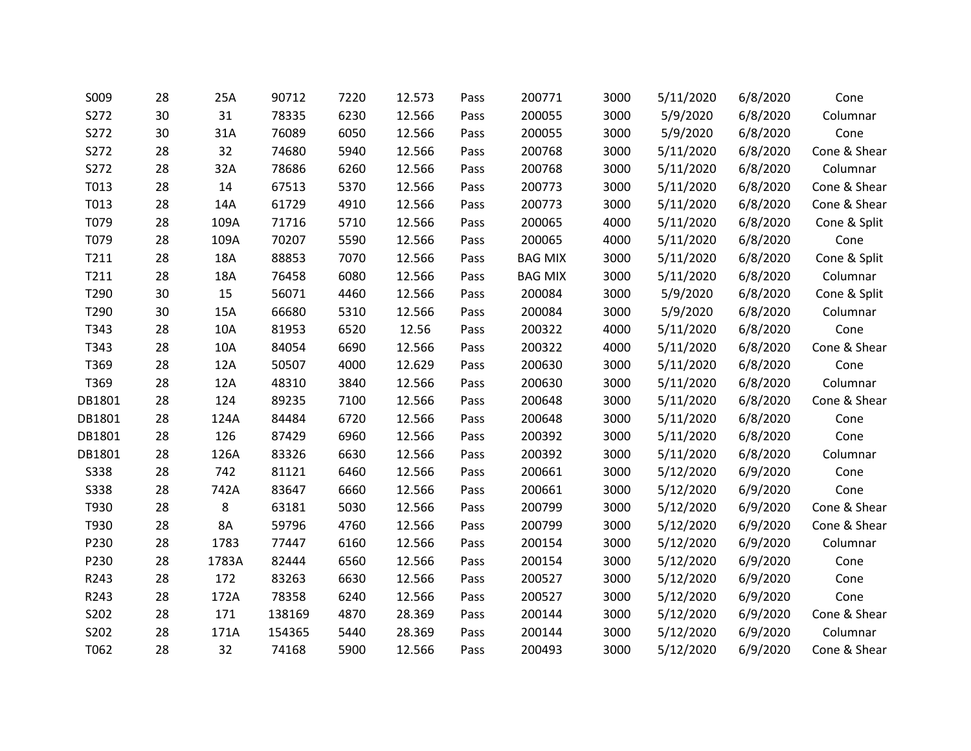| S009        | 28 | 25A       | 90712  | 7220 | 12.573 | Pass | 200771         | 3000 | 5/11/2020 | 6/8/2020 | Cone         |
|-------------|----|-----------|--------|------|--------|------|----------------|------|-----------|----------|--------------|
| S272        | 30 | 31        | 78335  | 6230 | 12.566 | Pass | 200055         | 3000 | 5/9/2020  | 6/8/2020 | Columnar     |
| S272        | 30 | 31A       | 76089  | 6050 | 12.566 | Pass | 200055         | 3000 | 5/9/2020  | 6/8/2020 | Cone         |
| S272        | 28 | 32        | 74680  | 5940 | 12.566 | Pass | 200768         | 3000 | 5/11/2020 | 6/8/2020 | Cone & Shear |
| S272        | 28 | 32A       | 78686  | 6260 | 12.566 | Pass | 200768         | 3000 | 5/11/2020 | 6/8/2020 | Columnar     |
| T013        | 28 | 14        | 67513  | 5370 | 12.566 | Pass | 200773         | 3000 | 5/11/2020 | 6/8/2020 | Cone & Shear |
| T013        | 28 | 14A       | 61729  | 4910 | 12.566 | Pass | 200773         | 3000 | 5/11/2020 | 6/8/2020 | Cone & Shear |
| T079        | 28 | 109A      | 71716  | 5710 | 12.566 | Pass | 200065         | 4000 | 5/11/2020 | 6/8/2020 | Cone & Split |
| T079        | 28 | 109A      | 70207  | 5590 | 12.566 | Pass | 200065         | 4000 | 5/11/2020 | 6/8/2020 | Cone         |
| T211        | 28 | 18A       | 88853  | 7070 | 12.566 | Pass | <b>BAG MIX</b> | 3000 | 5/11/2020 | 6/8/2020 | Cone & Split |
| T211        | 28 | 18A       | 76458  | 6080 | 12.566 | Pass | <b>BAG MIX</b> | 3000 | 5/11/2020 | 6/8/2020 | Columnar     |
| T290        | 30 | 15        | 56071  | 4460 | 12.566 | Pass | 200084         | 3000 | 5/9/2020  | 6/8/2020 | Cone & Split |
| T290        | 30 | 15A       | 66680  | 5310 | 12.566 | Pass | 200084         | 3000 | 5/9/2020  | 6/8/2020 | Columnar     |
| T343        | 28 | 10A       | 81953  | 6520 | 12.56  | Pass | 200322         | 4000 | 5/11/2020 | 6/8/2020 | Cone         |
| T343        | 28 | 10A       | 84054  | 6690 | 12.566 | Pass | 200322         | 4000 | 5/11/2020 | 6/8/2020 | Cone & Shear |
| T369        | 28 | 12A       | 50507  | 4000 | 12.629 | Pass | 200630         | 3000 | 5/11/2020 | 6/8/2020 | Cone         |
| T369        | 28 | 12A       | 48310  | 3840 | 12.566 | Pass | 200630         | 3000 | 5/11/2020 | 6/8/2020 | Columnar     |
| DB1801      | 28 | 124       | 89235  | 7100 | 12.566 | Pass | 200648         | 3000 | 5/11/2020 | 6/8/2020 | Cone & Shear |
| DB1801      | 28 | 124A      | 84484  | 6720 | 12.566 | Pass | 200648         | 3000 | 5/11/2020 | 6/8/2020 | Cone         |
| DB1801      | 28 | 126       | 87429  | 6960 | 12.566 | Pass | 200392         | 3000 | 5/11/2020 | 6/8/2020 | Cone         |
| DB1801      | 28 | 126A      | 83326  | 6630 | 12.566 | Pass | 200392         | 3000 | 5/11/2020 | 6/8/2020 | Columnar     |
| <b>S338</b> | 28 | 742       | 81121  | 6460 | 12.566 | Pass | 200661         | 3000 | 5/12/2020 | 6/9/2020 | Cone         |
| <b>S338</b> | 28 | 742A      | 83647  | 6660 | 12.566 | Pass | 200661         | 3000 | 5/12/2020 | 6/9/2020 | Cone         |
| T930        | 28 | 8         | 63181  | 5030 | 12.566 | Pass | 200799         | 3000 | 5/12/2020 | 6/9/2020 | Cone & Shear |
| T930        | 28 | <b>8A</b> | 59796  | 4760 | 12.566 | Pass | 200799         | 3000 | 5/12/2020 | 6/9/2020 | Cone & Shear |
| P230        | 28 | 1783      | 77447  | 6160 | 12.566 | Pass | 200154         | 3000 | 5/12/2020 | 6/9/2020 | Columnar     |
| P230        | 28 | 1783A     | 82444  | 6560 | 12.566 | Pass | 200154         | 3000 | 5/12/2020 | 6/9/2020 | Cone         |
| R243        | 28 | 172       | 83263  | 6630 | 12.566 | Pass | 200527         | 3000 | 5/12/2020 | 6/9/2020 | Cone         |
| R243        | 28 | 172A      | 78358  | 6240 | 12.566 | Pass | 200527         | 3000 | 5/12/2020 | 6/9/2020 | Cone         |
| S202        | 28 | 171       | 138169 | 4870 | 28.369 | Pass | 200144         | 3000 | 5/12/2020 | 6/9/2020 | Cone & Shear |
| S202        | 28 | 171A      | 154365 | 5440 | 28.369 | Pass | 200144         | 3000 | 5/12/2020 | 6/9/2020 | Columnar     |
| T062        | 28 | 32        | 74168  | 5900 | 12.566 | Pass | 200493         | 3000 | 5/12/2020 | 6/9/2020 | Cone & Shear |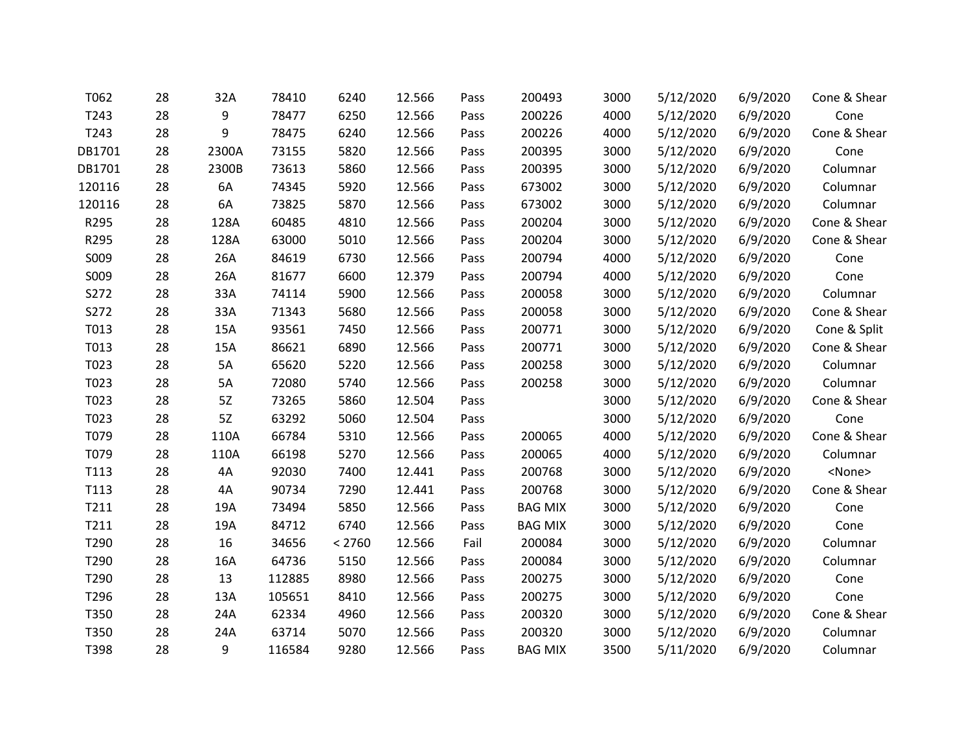| T062   | 28 | 32A   | 78410  | 6240   | 12.566 | Pass | 200493         | 3000 | 5/12/2020 | 6/9/2020 | Cone & Shear  |
|--------|----|-------|--------|--------|--------|------|----------------|------|-----------|----------|---------------|
| T243   | 28 | 9     | 78477  | 6250   | 12.566 | Pass | 200226         | 4000 | 5/12/2020 | 6/9/2020 | Cone          |
| T243   | 28 | 9     | 78475  | 6240   | 12.566 | Pass | 200226         | 4000 | 5/12/2020 | 6/9/2020 | Cone & Shear  |
| DB1701 | 28 | 2300A | 73155  | 5820   | 12.566 | Pass | 200395         | 3000 | 5/12/2020 | 6/9/2020 | Cone          |
| DB1701 | 28 | 2300B | 73613  | 5860   | 12.566 | Pass | 200395         | 3000 | 5/12/2020 | 6/9/2020 | Columnar      |
| 120116 | 28 | 6A    | 74345  | 5920   | 12.566 | Pass | 673002         | 3000 | 5/12/2020 | 6/9/2020 | Columnar      |
| 120116 | 28 | 6A    | 73825  | 5870   | 12.566 | Pass | 673002         | 3000 | 5/12/2020 | 6/9/2020 | Columnar      |
| R295   | 28 | 128A  | 60485  | 4810   | 12.566 | Pass | 200204         | 3000 | 5/12/2020 | 6/9/2020 | Cone & Shear  |
| R295   | 28 | 128A  | 63000  | 5010   | 12.566 | Pass | 200204         | 3000 | 5/12/2020 | 6/9/2020 | Cone & Shear  |
| S009   | 28 | 26A   | 84619  | 6730   | 12.566 | Pass | 200794         | 4000 | 5/12/2020 | 6/9/2020 | Cone          |
| S009   | 28 | 26A   | 81677  | 6600   | 12.379 | Pass | 200794         | 4000 | 5/12/2020 | 6/9/2020 | Cone          |
| S272   | 28 | 33A   | 74114  | 5900   | 12.566 | Pass | 200058         | 3000 | 5/12/2020 | 6/9/2020 | Columnar      |
| S272   | 28 | 33A   | 71343  | 5680   | 12.566 | Pass | 200058         | 3000 | 5/12/2020 | 6/9/2020 | Cone & Shear  |
| T013   | 28 | 15A   | 93561  | 7450   | 12.566 | Pass | 200771         | 3000 | 5/12/2020 | 6/9/2020 | Cone & Split  |
| T013   | 28 | 15A   | 86621  | 6890   | 12.566 | Pass | 200771         | 3000 | 5/12/2020 | 6/9/2020 | Cone & Shear  |
| T023   | 28 | 5A    | 65620  | 5220   | 12.566 | Pass | 200258         | 3000 | 5/12/2020 | 6/9/2020 | Columnar      |
| T023   | 28 | 5A    | 72080  | 5740   | 12.566 | Pass | 200258         | 3000 | 5/12/2020 | 6/9/2020 | Columnar      |
| T023   | 28 | 5Z    | 73265  | 5860   | 12.504 | Pass |                | 3000 | 5/12/2020 | 6/9/2020 | Cone & Shear  |
| T023   | 28 | 5Z    | 63292  | 5060   | 12.504 | Pass |                | 3000 | 5/12/2020 | 6/9/2020 | Cone          |
| T079   | 28 | 110A  | 66784  | 5310   | 12.566 | Pass | 200065         | 4000 | 5/12/2020 | 6/9/2020 | Cone & Shear  |
| T079   | 28 | 110A  | 66198  | 5270   | 12.566 | Pass | 200065         | 4000 | 5/12/2020 | 6/9/2020 | Columnar      |
| T113   | 28 | 4A    | 92030  | 7400   | 12.441 | Pass | 200768         | 3000 | 5/12/2020 | 6/9/2020 | <none></none> |
| T113   | 28 | 4A    | 90734  | 7290   | 12.441 | Pass | 200768         | 3000 | 5/12/2020 | 6/9/2020 | Cone & Shear  |
| T211   | 28 | 19A   | 73494  | 5850   | 12.566 | Pass | <b>BAG MIX</b> | 3000 | 5/12/2020 | 6/9/2020 | Cone          |
| T211   | 28 | 19A   | 84712  | 6740   | 12.566 | Pass | <b>BAG MIX</b> | 3000 | 5/12/2020 | 6/9/2020 | Cone          |
| T290   | 28 | 16    | 34656  | < 2760 | 12.566 | Fail | 200084         | 3000 | 5/12/2020 | 6/9/2020 | Columnar      |
| T290   | 28 | 16A   | 64736  | 5150   | 12.566 | Pass | 200084         | 3000 | 5/12/2020 | 6/9/2020 | Columnar      |
| T290   | 28 | 13    | 112885 | 8980   | 12.566 | Pass | 200275         | 3000 | 5/12/2020 | 6/9/2020 | Cone          |
| T296   | 28 | 13A   | 105651 | 8410   | 12.566 | Pass | 200275         | 3000 | 5/12/2020 | 6/9/2020 | Cone          |
| T350   | 28 | 24A   | 62334  | 4960   | 12.566 | Pass | 200320         | 3000 | 5/12/2020 | 6/9/2020 | Cone & Shear  |
| T350   | 28 | 24A   | 63714  | 5070   | 12.566 | Pass | 200320         | 3000 | 5/12/2020 | 6/9/2020 | Columnar      |
| T398   | 28 | 9     | 116584 | 9280   | 12.566 | Pass | <b>BAG MIX</b> | 3500 | 5/11/2020 | 6/9/2020 | Columnar      |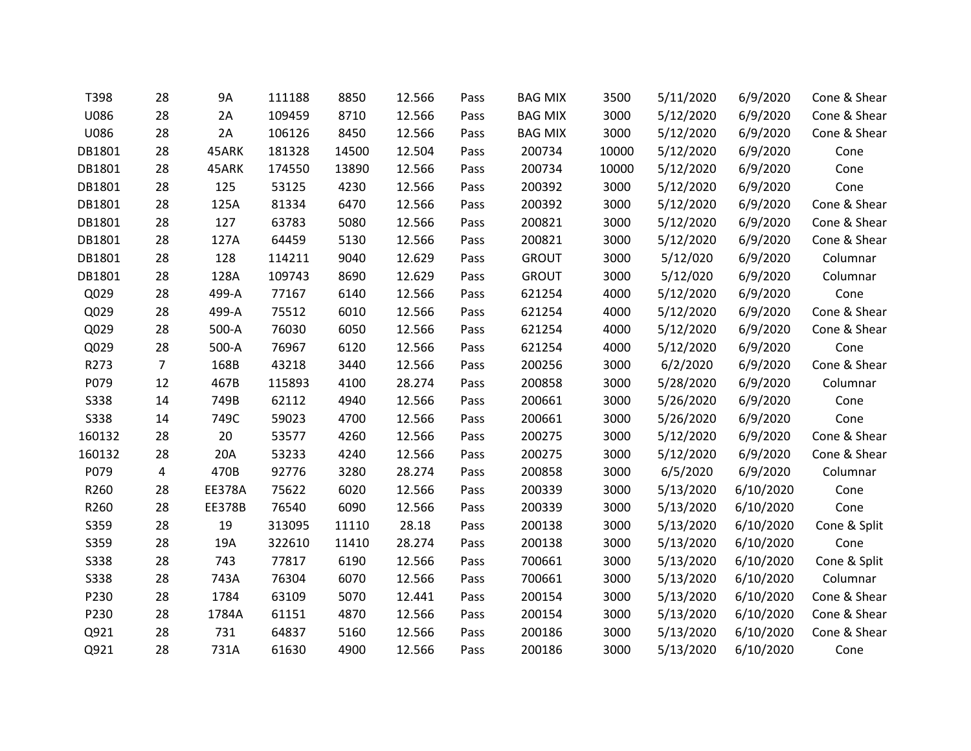| T398        | 28 | <b>9A</b>     | 111188 | 8850  | 12.566 | Pass | <b>BAG MIX</b> | 3500  | 5/11/2020 | 6/9/2020  | Cone & Shear |
|-------------|----|---------------|--------|-------|--------|------|----------------|-------|-----------|-----------|--------------|
| U086        | 28 | 2A            | 109459 | 8710  | 12.566 | Pass | <b>BAG MIX</b> | 3000  | 5/12/2020 | 6/9/2020  | Cone & Shear |
| U086        | 28 | 2A            | 106126 | 8450  | 12.566 | Pass | <b>BAG MIX</b> | 3000  | 5/12/2020 | 6/9/2020  | Cone & Shear |
| DB1801      | 28 | 45ARK         | 181328 | 14500 | 12.504 | Pass | 200734         | 10000 | 5/12/2020 | 6/9/2020  | Cone         |
| DB1801      | 28 | 45ARK         | 174550 | 13890 | 12.566 | Pass | 200734         | 10000 | 5/12/2020 | 6/9/2020  | Cone         |
| DB1801      | 28 | 125           | 53125  | 4230  | 12.566 | Pass | 200392         | 3000  | 5/12/2020 | 6/9/2020  | Cone         |
| DB1801      | 28 | 125A          | 81334  | 6470  | 12.566 | Pass | 200392         | 3000  | 5/12/2020 | 6/9/2020  | Cone & Shear |
| DB1801      | 28 | 127           | 63783  | 5080  | 12.566 | Pass | 200821         | 3000  | 5/12/2020 | 6/9/2020  | Cone & Shear |
| DB1801      | 28 | 127A          | 64459  | 5130  | 12.566 | Pass | 200821         | 3000  | 5/12/2020 | 6/9/2020  | Cone & Shear |
| DB1801      | 28 | 128           | 114211 | 9040  | 12.629 | Pass | <b>GROUT</b>   | 3000  | 5/12/020  | 6/9/2020  | Columnar     |
| DB1801      | 28 | 128A          | 109743 | 8690  | 12.629 | Pass | <b>GROUT</b>   | 3000  | 5/12/020  | 6/9/2020  | Columnar     |
| Q029        | 28 | 499-A         | 77167  | 6140  | 12.566 | Pass | 621254         | 4000  | 5/12/2020 | 6/9/2020  | Cone         |
| Q029        | 28 | 499-A         | 75512  | 6010  | 12.566 | Pass | 621254         | 4000  | 5/12/2020 | 6/9/2020  | Cone & Shear |
| Q029        | 28 | 500-A         | 76030  | 6050  | 12.566 | Pass | 621254         | 4000  | 5/12/2020 | 6/9/2020  | Cone & Shear |
| Q029        | 28 | 500-A         | 76967  | 6120  | 12.566 | Pass | 621254         | 4000  | 5/12/2020 | 6/9/2020  | Cone         |
| R273        | 7  | 168B          | 43218  | 3440  | 12.566 | Pass | 200256         | 3000  | 6/2/2020  | 6/9/2020  | Cone & Shear |
| P079        | 12 | 467B          | 115893 | 4100  | 28.274 | Pass | 200858         | 3000  | 5/28/2020 | 6/9/2020  | Columnar     |
| <b>S338</b> | 14 | 749B          | 62112  | 4940  | 12.566 | Pass | 200661         | 3000  | 5/26/2020 | 6/9/2020  | Cone         |
| <b>S338</b> | 14 | 749C          | 59023  | 4700  | 12.566 | Pass | 200661         | 3000  | 5/26/2020 | 6/9/2020  | Cone         |
| 160132      | 28 | 20            | 53577  | 4260  | 12.566 | Pass | 200275         | 3000  | 5/12/2020 | 6/9/2020  | Cone & Shear |
| 160132      | 28 | 20A           | 53233  | 4240  | 12.566 | Pass | 200275         | 3000  | 5/12/2020 | 6/9/2020  | Cone & Shear |
| P079        | 4  | 470B          | 92776  | 3280  | 28.274 | Pass | 200858         | 3000  | 6/5/2020  | 6/9/2020  | Columnar     |
| R260        | 28 | <b>EE378A</b> | 75622  | 6020  | 12.566 | Pass | 200339         | 3000  | 5/13/2020 | 6/10/2020 | Cone         |
| R260        | 28 | <b>EE378B</b> | 76540  | 6090  | 12.566 | Pass | 200339         | 3000  | 5/13/2020 | 6/10/2020 | Cone         |
| S359        | 28 | 19            | 313095 | 11110 | 28.18  | Pass | 200138         | 3000  | 5/13/2020 | 6/10/2020 | Cone & Split |
| S359        | 28 | 19A           | 322610 | 11410 | 28.274 | Pass | 200138         | 3000  | 5/13/2020 | 6/10/2020 | Cone         |
| <b>S338</b> | 28 | 743           | 77817  | 6190  | 12.566 | Pass | 700661         | 3000  | 5/13/2020 | 6/10/2020 | Cone & Split |
| <b>S338</b> | 28 | 743A          | 76304  | 6070  | 12.566 | Pass | 700661         | 3000  | 5/13/2020 | 6/10/2020 | Columnar     |
| P230        | 28 | 1784          | 63109  | 5070  | 12.441 | Pass | 200154         | 3000  | 5/13/2020 | 6/10/2020 | Cone & Shear |
| P230        | 28 | 1784A         | 61151  | 4870  | 12.566 | Pass | 200154         | 3000  | 5/13/2020 | 6/10/2020 | Cone & Shear |
| Q921        | 28 | 731           | 64837  | 5160  | 12.566 | Pass | 200186         | 3000  | 5/13/2020 | 6/10/2020 | Cone & Shear |
| Q921        | 28 | 731A          | 61630  | 4900  | 12.566 | Pass | 200186         | 3000  | 5/13/2020 | 6/10/2020 | Cone         |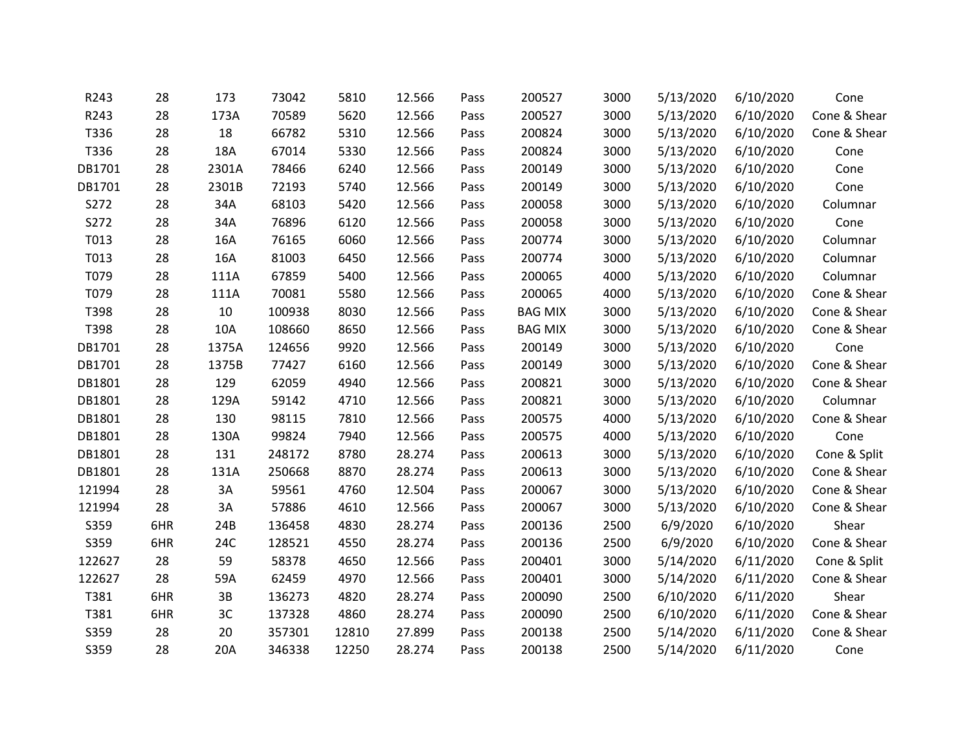| R243   | 28  | 173   | 73042  | 5810  | 12.566 | Pass | 200527         | 3000 | 5/13/2020 | 6/10/2020 | Cone         |
|--------|-----|-------|--------|-------|--------|------|----------------|------|-----------|-----------|--------------|
| R243   | 28  | 173A  | 70589  | 5620  | 12.566 | Pass | 200527         | 3000 | 5/13/2020 | 6/10/2020 | Cone & Shear |
| T336   | 28  | 18    | 66782  | 5310  | 12.566 | Pass | 200824         | 3000 | 5/13/2020 | 6/10/2020 | Cone & Shear |
| T336   | 28  | 18A   | 67014  | 5330  | 12.566 | Pass | 200824         | 3000 | 5/13/2020 | 6/10/2020 | Cone         |
| DB1701 | 28  | 2301A | 78466  | 6240  | 12.566 | Pass | 200149         | 3000 | 5/13/2020 | 6/10/2020 | Cone         |
| DB1701 | 28  | 2301B | 72193  | 5740  | 12.566 | Pass | 200149         | 3000 | 5/13/2020 | 6/10/2020 | Cone         |
| S272   | 28  | 34A   | 68103  | 5420  | 12.566 | Pass | 200058         | 3000 | 5/13/2020 | 6/10/2020 | Columnar     |
| S272   | 28  | 34A   | 76896  | 6120  | 12.566 | Pass | 200058         | 3000 | 5/13/2020 | 6/10/2020 | Cone         |
| T013   | 28  | 16A   | 76165  | 6060  | 12.566 | Pass | 200774         | 3000 | 5/13/2020 | 6/10/2020 | Columnar     |
| T013   | 28  | 16A   | 81003  | 6450  | 12.566 | Pass | 200774         | 3000 | 5/13/2020 | 6/10/2020 | Columnar     |
| T079   | 28  | 111A  | 67859  | 5400  | 12.566 | Pass | 200065         | 4000 | 5/13/2020 | 6/10/2020 | Columnar     |
| T079   | 28  | 111A  | 70081  | 5580  | 12.566 | Pass | 200065         | 4000 | 5/13/2020 | 6/10/2020 | Cone & Shear |
| T398   | 28  | 10    | 100938 | 8030  | 12.566 | Pass | <b>BAG MIX</b> | 3000 | 5/13/2020 | 6/10/2020 | Cone & Shear |
| T398   | 28  | 10A   | 108660 | 8650  | 12.566 | Pass | <b>BAG MIX</b> | 3000 | 5/13/2020 | 6/10/2020 | Cone & Shear |
| DB1701 | 28  | 1375A | 124656 | 9920  | 12.566 | Pass | 200149         | 3000 | 5/13/2020 | 6/10/2020 | Cone         |
| DB1701 | 28  | 1375B | 77427  | 6160  | 12.566 | Pass | 200149         | 3000 | 5/13/2020 | 6/10/2020 | Cone & Shear |
| DB1801 | 28  | 129   | 62059  | 4940  | 12.566 | Pass | 200821         | 3000 | 5/13/2020 | 6/10/2020 | Cone & Shear |
| DB1801 | 28  | 129A  | 59142  | 4710  | 12.566 | Pass | 200821         | 3000 | 5/13/2020 | 6/10/2020 | Columnar     |
| DB1801 | 28  | 130   | 98115  | 7810  | 12.566 | Pass | 200575         | 4000 | 5/13/2020 | 6/10/2020 | Cone & Shear |
| DB1801 | 28  | 130A  | 99824  | 7940  | 12.566 | Pass | 200575         | 4000 | 5/13/2020 | 6/10/2020 | Cone         |
| DB1801 | 28  | 131   | 248172 | 8780  | 28.274 | Pass | 200613         | 3000 | 5/13/2020 | 6/10/2020 | Cone & Split |
| DB1801 | 28  | 131A  | 250668 | 8870  | 28.274 | Pass | 200613         | 3000 | 5/13/2020 | 6/10/2020 | Cone & Shear |
| 121994 | 28  | 3A    | 59561  | 4760  | 12.504 | Pass | 200067         | 3000 | 5/13/2020 | 6/10/2020 | Cone & Shear |
| 121994 | 28  | 3A    | 57886  | 4610  | 12.566 | Pass | 200067         | 3000 | 5/13/2020 | 6/10/2020 | Cone & Shear |
| S359   | 6HR | 24B   | 136458 | 4830  | 28.274 | Pass | 200136         | 2500 | 6/9/2020  | 6/10/2020 | Shear        |
| S359   | 6HR | 24C   | 128521 | 4550  | 28.274 | Pass | 200136         | 2500 | 6/9/2020  | 6/10/2020 | Cone & Shear |
| 122627 | 28  | 59    | 58378  | 4650  | 12.566 | Pass | 200401         | 3000 | 5/14/2020 | 6/11/2020 | Cone & Split |
| 122627 | 28  | 59A   | 62459  | 4970  | 12.566 | Pass | 200401         | 3000 | 5/14/2020 | 6/11/2020 | Cone & Shear |
| T381   | 6HR | 3B    | 136273 | 4820  | 28.274 | Pass | 200090         | 2500 | 6/10/2020 | 6/11/2020 | Shear        |
| T381   | 6HR | 3C    | 137328 | 4860  | 28.274 | Pass | 200090         | 2500 | 6/10/2020 | 6/11/2020 | Cone & Shear |
| S359   | 28  | 20    | 357301 | 12810 | 27.899 | Pass | 200138         | 2500 | 5/14/2020 | 6/11/2020 | Cone & Shear |
| S359   | 28  | 20A   | 346338 | 12250 | 28.274 | Pass | 200138         | 2500 | 5/14/2020 | 6/11/2020 | Cone         |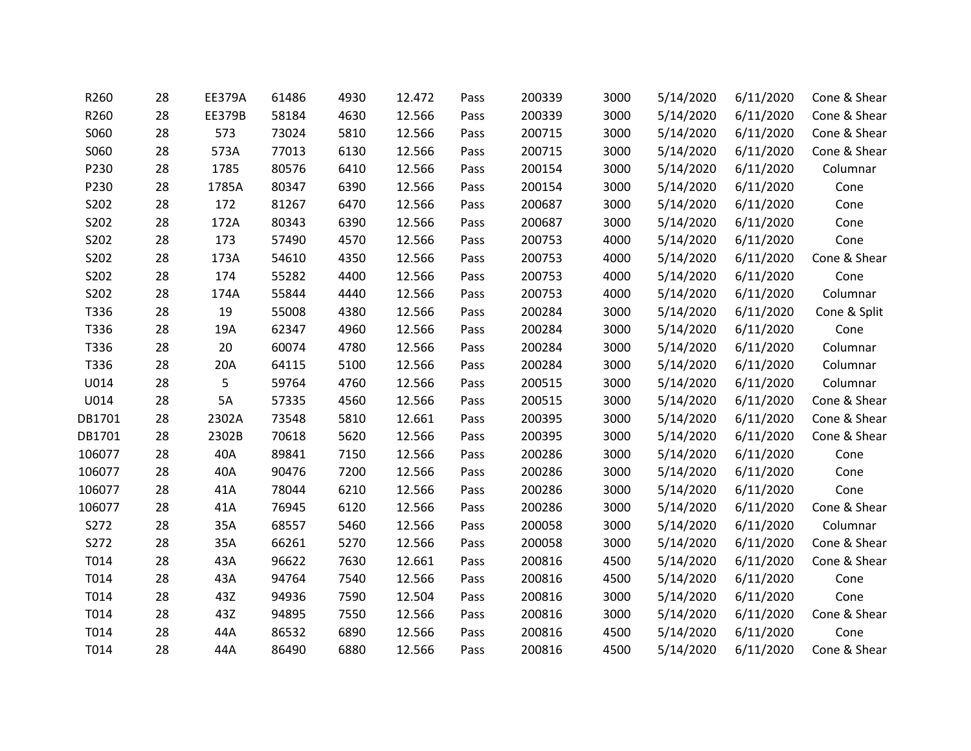| R260   | 28 | <b>EE379A</b> | 61486 | 4930 | 12.472 | Pass | 200339 | 3000 | 5/14/2020 | 6/11/2020 | Cone & Shear |
|--------|----|---------------|-------|------|--------|------|--------|------|-----------|-----------|--------------|
| R260   | 28 | EE379B        | 58184 | 4630 | 12.566 | Pass | 200339 | 3000 | 5/14/2020 | 6/11/2020 | Cone & Shear |
| S060   | 28 | 573           | 73024 | 5810 | 12.566 | Pass | 200715 | 3000 | 5/14/2020 | 6/11/2020 | Cone & Shear |
| S060   | 28 | 573A          | 77013 | 6130 | 12.566 | Pass | 200715 | 3000 | 5/14/2020 | 6/11/2020 | Cone & Shear |
| P230   | 28 | 1785          | 80576 | 6410 | 12.566 | Pass | 200154 | 3000 | 5/14/2020 | 6/11/2020 | Columnar     |
| P230   | 28 | 1785A         | 80347 | 6390 | 12.566 | Pass | 200154 | 3000 | 5/14/2020 | 6/11/2020 | Cone         |
| S202   | 28 | 172           | 81267 | 6470 | 12.566 | Pass | 200687 | 3000 | 5/14/2020 | 6/11/2020 | Cone         |
| S202   | 28 | 172A          | 80343 | 6390 | 12.566 | Pass | 200687 | 3000 | 5/14/2020 | 6/11/2020 | Cone         |
| S202   | 28 | 173           | 57490 | 4570 | 12.566 | Pass | 200753 | 4000 | 5/14/2020 | 6/11/2020 | Cone         |
| S202   | 28 | 173A          | 54610 | 4350 | 12.566 | Pass | 200753 | 4000 | 5/14/2020 | 6/11/2020 | Cone & Shear |
| S202   | 28 | 174           | 55282 | 4400 | 12.566 | Pass | 200753 | 4000 | 5/14/2020 | 6/11/2020 | Cone         |
| S202   | 28 | 174A          | 55844 | 4440 | 12.566 | Pass | 200753 | 4000 | 5/14/2020 | 6/11/2020 | Columnar     |
| T336   | 28 | 19            | 55008 | 4380 | 12.566 | Pass | 200284 | 3000 | 5/14/2020 | 6/11/2020 | Cone & Split |
| T336   | 28 | 19A           | 62347 | 4960 | 12.566 | Pass | 200284 | 3000 | 5/14/2020 | 6/11/2020 | Cone         |
| T336   | 28 | 20            | 60074 | 4780 | 12.566 | Pass | 200284 | 3000 | 5/14/2020 | 6/11/2020 | Columnar     |
| T336   | 28 | 20A           | 64115 | 5100 | 12.566 | Pass | 200284 | 3000 | 5/14/2020 | 6/11/2020 | Columnar     |
| U014   | 28 | 5             | 59764 | 4760 | 12.566 | Pass | 200515 | 3000 | 5/14/2020 | 6/11/2020 | Columnar     |
| U014   | 28 | 5A            | 57335 | 4560 | 12.566 | Pass | 200515 | 3000 | 5/14/2020 | 6/11/2020 | Cone & Shear |
| DB1701 | 28 | 2302A         | 73548 | 5810 | 12.661 | Pass | 200395 | 3000 | 5/14/2020 | 6/11/2020 | Cone & Shear |
| DB1701 | 28 | 2302B         | 70618 | 5620 | 12.566 | Pass | 200395 | 3000 | 5/14/2020 | 6/11/2020 | Cone & Shear |
| 106077 | 28 | 40A           | 89841 | 7150 | 12.566 | Pass | 200286 | 3000 | 5/14/2020 | 6/11/2020 | Cone         |
| 106077 | 28 | 40A           | 90476 | 7200 | 12.566 | Pass | 200286 | 3000 | 5/14/2020 | 6/11/2020 | Cone         |
| 106077 | 28 | 41A           | 78044 | 6210 | 12.566 | Pass | 200286 | 3000 | 5/14/2020 | 6/11/2020 | Cone         |
| 106077 | 28 | 41A           | 76945 | 6120 | 12.566 | Pass | 200286 | 3000 | 5/14/2020 | 6/11/2020 | Cone & Shear |
| S272   | 28 | 35A           | 68557 | 5460 | 12.566 | Pass | 200058 | 3000 | 5/14/2020 | 6/11/2020 | Columnar     |
| S272   | 28 | 35A           | 66261 | 5270 | 12.566 | Pass | 200058 | 3000 | 5/14/2020 | 6/11/2020 | Cone & Shear |
| T014   | 28 | 43A           | 96622 | 7630 | 12.661 | Pass | 200816 | 4500 | 5/14/2020 | 6/11/2020 | Cone & Shear |
| T014   | 28 | 43A           | 94764 | 7540 | 12.566 | Pass | 200816 | 4500 | 5/14/2020 | 6/11/2020 | Cone         |
| T014   | 28 | 43Z           | 94936 | 7590 | 12.504 | Pass | 200816 | 3000 | 5/14/2020 | 6/11/2020 | Cone         |
| T014   | 28 | 43Z           | 94895 | 7550 | 12.566 | Pass | 200816 | 3000 | 5/14/2020 | 6/11/2020 | Cone & Shear |
| T014   | 28 | 44A           | 86532 | 6890 | 12.566 | Pass | 200816 | 4500 | 5/14/2020 | 6/11/2020 | Cone         |
| T014   | 28 | 44A           | 86490 | 6880 | 12.566 | Pass | 200816 | 4500 | 5/14/2020 | 6/11/2020 | Cone & Shear |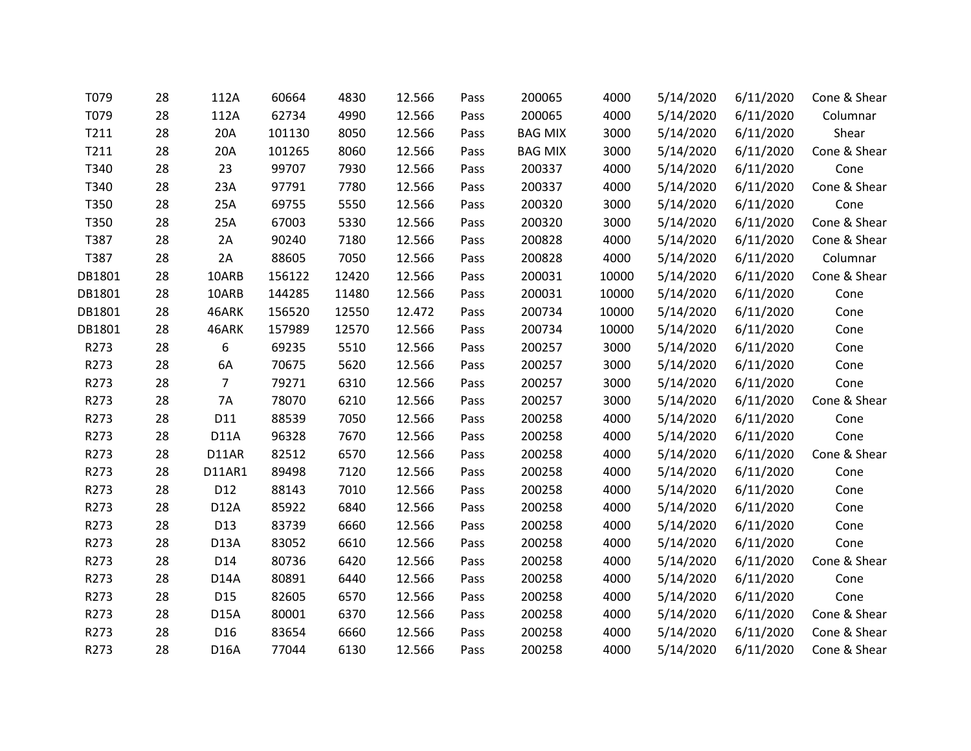| T079   | 28 | 112A            | 60664  | 4830  | 12.566 | Pass | 200065         | 4000  | 5/14/2020 | 6/11/2020 | Cone & Shear |
|--------|----|-----------------|--------|-------|--------|------|----------------|-------|-----------|-----------|--------------|
| T079   | 28 | 112A            | 62734  | 4990  | 12.566 | Pass | 200065         | 4000  | 5/14/2020 | 6/11/2020 | Columnar     |
| T211   | 28 | 20A             | 101130 | 8050  | 12.566 | Pass | <b>BAG MIX</b> | 3000  | 5/14/2020 | 6/11/2020 | Shear        |
| T211   | 28 | 20A             | 101265 | 8060  | 12.566 | Pass | <b>BAG MIX</b> | 3000  | 5/14/2020 | 6/11/2020 | Cone & Shear |
| T340   | 28 | 23              | 99707  | 7930  | 12.566 | Pass | 200337         | 4000  | 5/14/2020 | 6/11/2020 | Cone         |
| T340   | 28 | 23A             | 97791  | 7780  | 12.566 | Pass | 200337         | 4000  | 5/14/2020 | 6/11/2020 | Cone & Shear |
| T350   | 28 | 25A             | 69755  | 5550  | 12.566 | Pass | 200320         | 3000  | 5/14/2020 | 6/11/2020 | Cone         |
| T350   | 28 | 25A             | 67003  | 5330  | 12.566 | Pass | 200320         | 3000  | 5/14/2020 | 6/11/2020 | Cone & Shear |
| T387   | 28 | 2A              | 90240  | 7180  | 12.566 | Pass | 200828         | 4000  | 5/14/2020 | 6/11/2020 | Cone & Shear |
| T387   | 28 | 2A              | 88605  | 7050  | 12.566 | Pass | 200828         | 4000  | 5/14/2020 | 6/11/2020 | Columnar     |
| DB1801 | 28 | 10ARB           | 156122 | 12420 | 12.566 | Pass | 200031         | 10000 | 5/14/2020 | 6/11/2020 | Cone & Shear |
| DB1801 | 28 | 10ARB           | 144285 | 11480 | 12.566 | Pass | 200031         | 10000 | 5/14/2020 | 6/11/2020 | Cone         |
| DB1801 | 28 | 46ARK           | 156520 | 12550 | 12.472 | Pass | 200734         | 10000 | 5/14/2020 | 6/11/2020 | Cone         |
| DB1801 | 28 | 46ARK           | 157989 | 12570 | 12.566 | Pass | 200734         | 10000 | 5/14/2020 | 6/11/2020 | Cone         |
| R273   | 28 | 6               | 69235  | 5510  | 12.566 | Pass | 200257         | 3000  | 5/14/2020 | 6/11/2020 | Cone         |
| R273   | 28 | 6A              | 70675  | 5620  | 12.566 | Pass | 200257         | 3000  | 5/14/2020 | 6/11/2020 | Cone         |
| R273   | 28 | $\overline{7}$  | 79271  | 6310  | 12.566 | Pass | 200257         | 3000  | 5/14/2020 | 6/11/2020 | Cone         |
| R273   | 28 | 7A              | 78070  | 6210  | 12.566 | Pass | 200257         | 3000  | 5/14/2020 | 6/11/2020 | Cone & Shear |
| R273   | 28 | D11             | 88539  | 7050  | 12.566 | Pass | 200258         | 4000  | 5/14/2020 | 6/11/2020 | Cone         |
| R273   | 28 | <b>D11A</b>     | 96328  | 7670  | 12.566 | Pass | 200258         | 4000  | 5/14/2020 | 6/11/2020 | Cone         |
| R273   | 28 | D11AR           | 82512  | 6570  | 12.566 | Pass | 200258         | 4000  | 5/14/2020 | 6/11/2020 | Cone & Shear |
| R273   | 28 | D11AR1          | 89498  | 7120  | 12.566 | Pass | 200258         | 4000  | 5/14/2020 | 6/11/2020 | Cone         |
| R273   | 28 | D12             | 88143  | 7010  | 12.566 | Pass | 200258         | 4000  | 5/14/2020 | 6/11/2020 | Cone         |
| R273   | 28 | <b>D12A</b>     | 85922  | 6840  | 12.566 | Pass | 200258         | 4000  | 5/14/2020 | 6/11/2020 | Cone         |
| R273   | 28 | D13             | 83739  | 6660  | 12.566 | Pass | 200258         | 4000  | 5/14/2020 | 6/11/2020 | Cone         |
| R273   | 28 | D13A            | 83052  | 6610  | 12.566 | Pass | 200258         | 4000  | 5/14/2020 | 6/11/2020 | Cone         |
| R273   | 28 | D14             | 80736  | 6420  | 12.566 | Pass | 200258         | 4000  | 5/14/2020 | 6/11/2020 | Cone & Shear |
| R273   | 28 | D14A            | 80891  | 6440  | 12.566 | Pass | 200258         | 4000  | 5/14/2020 | 6/11/2020 | Cone         |
| R273   | 28 | D <sub>15</sub> | 82605  | 6570  | 12.566 | Pass | 200258         | 4000  | 5/14/2020 | 6/11/2020 | Cone         |
| R273   | 28 | <b>D15A</b>     | 80001  | 6370  | 12.566 | Pass | 200258         | 4000  | 5/14/2020 | 6/11/2020 | Cone & Shear |
| R273   | 28 | D <sub>16</sub> | 83654  | 6660  | 12.566 | Pass | 200258         | 4000  | 5/14/2020 | 6/11/2020 | Cone & Shear |
| R273   | 28 | <b>D16A</b>     | 77044  | 6130  | 12.566 | Pass | 200258         | 4000  | 5/14/2020 | 6/11/2020 | Cone & Shear |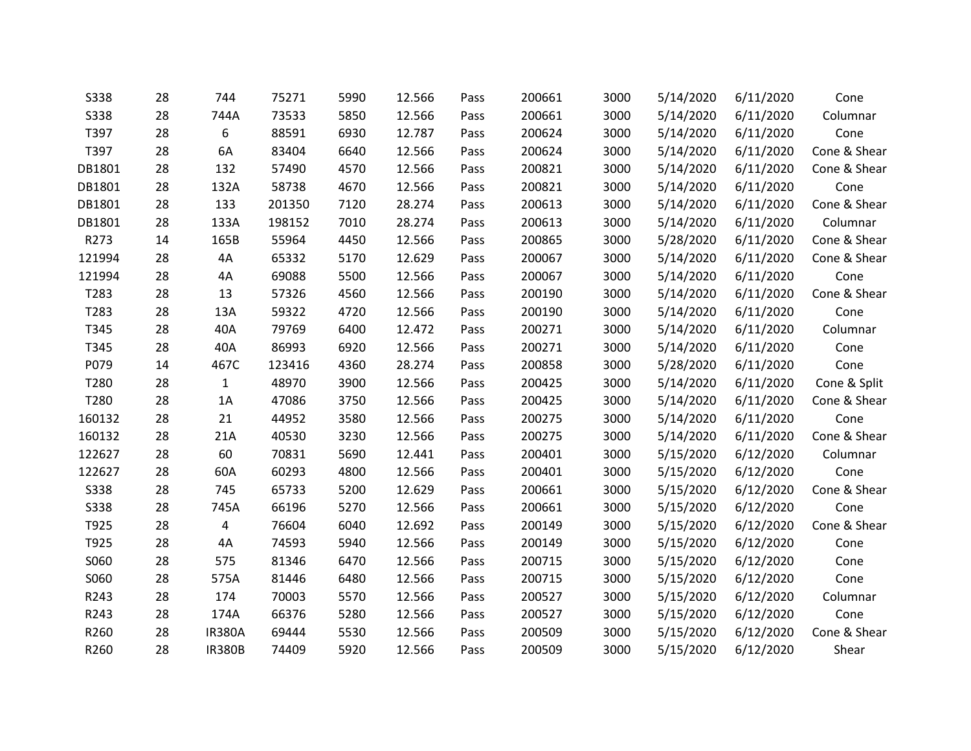| <b>S338</b> | 28 | 744           | 75271  | 5990 | 12.566 | Pass | 200661 | 3000 | 5/14/2020 | 6/11/2020 | Cone         |
|-------------|----|---------------|--------|------|--------|------|--------|------|-----------|-----------|--------------|
| <b>S338</b> | 28 | 744A          | 73533  | 5850 | 12.566 | Pass | 200661 | 3000 | 5/14/2020 | 6/11/2020 | Columnar     |
| T397        | 28 | 6             | 88591  | 6930 | 12.787 | Pass | 200624 | 3000 | 5/14/2020 | 6/11/2020 | Cone         |
| T397        | 28 | 6A            | 83404  | 6640 | 12.566 | Pass | 200624 | 3000 | 5/14/2020 | 6/11/2020 | Cone & Shear |
| DB1801      | 28 | 132           | 57490  | 4570 | 12.566 | Pass | 200821 | 3000 | 5/14/2020 | 6/11/2020 | Cone & Shear |
| DB1801      | 28 | 132A          | 58738  | 4670 | 12.566 | Pass | 200821 | 3000 | 5/14/2020 | 6/11/2020 | Cone         |
| DB1801      | 28 | 133           | 201350 | 7120 | 28.274 | Pass | 200613 | 3000 | 5/14/2020 | 6/11/2020 | Cone & Shear |
| DB1801      | 28 | 133A          | 198152 | 7010 | 28.274 | Pass | 200613 | 3000 | 5/14/2020 | 6/11/2020 | Columnar     |
| R273        | 14 | 165B          | 55964  | 4450 | 12.566 | Pass | 200865 | 3000 | 5/28/2020 | 6/11/2020 | Cone & Shear |
| 121994      | 28 | 4A            | 65332  | 5170 | 12.629 | Pass | 200067 | 3000 | 5/14/2020 | 6/11/2020 | Cone & Shear |
| 121994      | 28 | 4A            | 69088  | 5500 | 12.566 | Pass | 200067 | 3000 | 5/14/2020 | 6/11/2020 | Cone         |
| T283        | 28 | 13            | 57326  | 4560 | 12.566 | Pass | 200190 | 3000 | 5/14/2020 | 6/11/2020 | Cone & Shear |
| T283        | 28 | 13A           | 59322  | 4720 | 12.566 | Pass | 200190 | 3000 | 5/14/2020 | 6/11/2020 | Cone         |
| T345        | 28 | 40A           | 79769  | 6400 | 12.472 | Pass | 200271 | 3000 | 5/14/2020 | 6/11/2020 | Columnar     |
| T345        | 28 | 40A           | 86993  | 6920 | 12.566 | Pass | 200271 | 3000 | 5/14/2020 | 6/11/2020 | Cone         |
| P079        | 14 | 467C          | 123416 | 4360 | 28.274 | Pass | 200858 | 3000 | 5/28/2020 | 6/11/2020 | Cone         |
| T280        | 28 | $\mathbf{1}$  | 48970  | 3900 | 12.566 | Pass | 200425 | 3000 | 5/14/2020 | 6/11/2020 | Cone & Split |
| T280        | 28 | 1A            | 47086  | 3750 | 12.566 | Pass | 200425 | 3000 | 5/14/2020 | 6/11/2020 | Cone & Shear |
| 160132      | 28 | 21            | 44952  | 3580 | 12.566 | Pass | 200275 | 3000 | 5/14/2020 | 6/11/2020 | Cone         |
| 160132      | 28 | 21A           | 40530  | 3230 | 12.566 | Pass | 200275 | 3000 | 5/14/2020 | 6/11/2020 | Cone & Shear |
| 122627      | 28 | 60            | 70831  | 5690 | 12.441 | Pass | 200401 | 3000 | 5/15/2020 | 6/12/2020 | Columnar     |
| 122627      | 28 | 60A           | 60293  | 4800 | 12.566 | Pass | 200401 | 3000 | 5/15/2020 | 6/12/2020 | Cone         |
| <b>S338</b> | 28 | 745           | 65733  | 5200 | 12.629 | Pass | 200661 | 3000 | 5/15/2020 | 6/12/2020 | Cone & Shear |
| <b>S338</b> | 28 | 745A          | 66196  | 5270 | 12.566 | Pass | 200661 | 3000 | 5/15/2020 | 6/12/2020 | Cone         |
| T925        | 28 | 4             | 76604  | 6040 | 12.692 | Pass | 200149 | 3000 | 5/15/2020 | 6/12/2020 | Cone & Shear |
| T925        | 28 | 4A            | 74593  | 5940 | 12.566 | Pass | 200149 | 3000 | 5/15/2020 | 6/12/2020 | Cone         |
| S060        | 28 | 575           | 81346  | 6470 | 12.566 | Pass | 200715 | 3000 | 5/15/2020 | 6/12/2020 | Cone         |
| S060        | 28 | 575A          | 81446  | 6480 | 12.566 | Pass | 200715 | 3000 | 5/15/2020 | 6/12/2020 | Cone         |
| R243        | 28 | 174           | 70003  | 5570 | 12.566 | Pass | 200527 | 3000 | 5/15/2020 | 6/12/2020 | Columnar     |
| R243        | 28 | 174A          | 66376  | 5280 | 12.566 | Pass | 200527 | 3000 | 5/15/2020 | 6/12/2020 | Cone         |
| R260        | 28 | <b>IR380A</b> | 69444  | 5530 | 12.566 | Pass | 200509 | 3000 | 5/15/2020 | 6/12/2020 | Cone & Shear |
| R260        | 28 | <b>IR380B</b> | 74409  | 5920 | 12.566 | Pass | 200509 | 3000 | 5/15/2020 | 6/12/2020 | Shear        |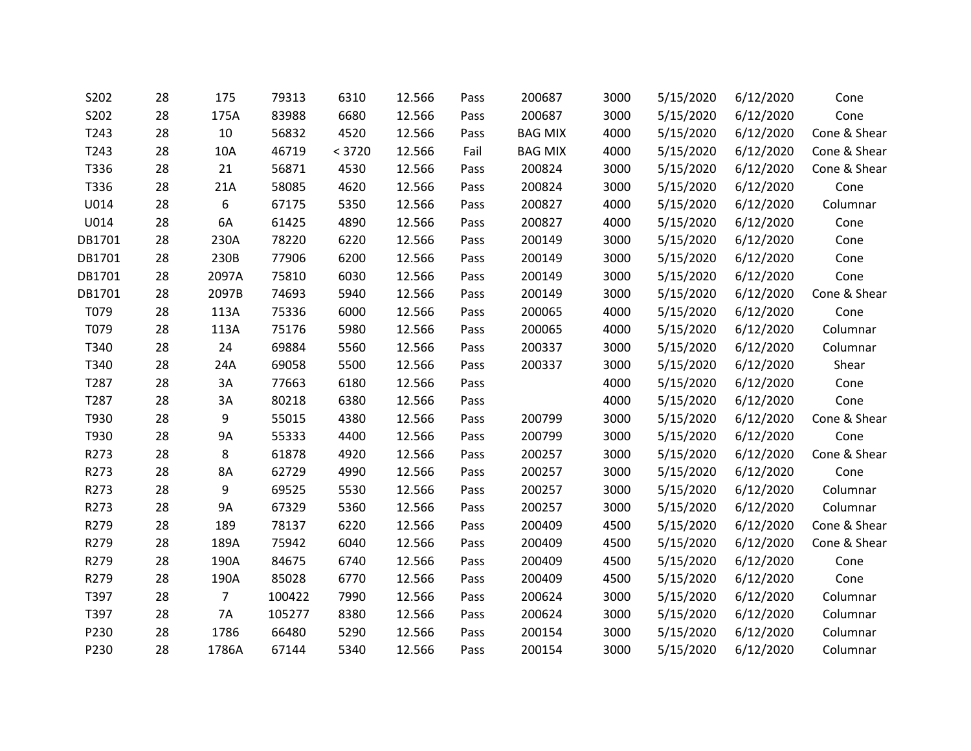| S202   | 28 | 175            | 79313  | 6310   | 12.566 | Pass | 200687         | 3000 | 5/15/2020 | 6/12/2020 | Cone         |
|--------|----|----------------|--------|--------|--------|------|----------------|------|-----------|-----------|--------------|
| S202   | 28 | 175A           | 83988  | 6680   | 12.566 | Pass | 200687         | 3000 | 5/15/2020 | 6/12/2020 | Cone         |
| T243   | 28 | 10             | 56832  | 4520   | 12.566 | Pass | <b>BAG MIX</b> | 4000 | 5/15/2020 | 6/12/2020 | Cone & Shear |
| T243   | 28 | 10A            | 46719  | < 3720 | 12.566 | Fail | <b>BAG MIX</b> | 4000 | 5/15/2020 | 6/12/2020 | Cone & Shear |
| T336   | 28 | 21             | 56871  | 4530   | 12.566 | Pass | 200824         | 3000 | 5/15/2020 | 6/12/2020 | Cone & Shear |
| T336   | 28 | 21A            | 58085  | 4620   | 12.566 | Pass | 200824         | 3000 | 5/15/2020 | 6/12/2020 | Cone         |
| U014   | 28 | 6              | 67175  | 5350   | 12.566 | Pass | 200827         | 4000 | 5/15/2020 | 6/12/2020 | Columnar     |
| U014   | 28 | 6A             | 61425  | 4890   | 12.566 | Pass | 200827         | 4000 | 5/15/2020 | 6/12/2020 | Cone         |
| DB1701 | 28 | 230A           | 78220  | 6220   | 12.566 | Pass | 200149         | 3000 | 5/15/2020 | 6/12/2020 | Cone         |
| DB1701 | 28 | 230B           | 77906  | 6200   | 12.566 | Pass | 200149         | 3000 | 5/15/2020 | 6/12/2020 | Cone         |
| DB1701 | 28 | 2097A          | 75810  | 6030   | 12.566 | Pass | 200149         | 3000 | 5/15/2020 | 6/12/2020 | Cone         |
| DB1701 | 28 | 2097B          | 74693  | 5940   | 12.566 | Pass | 200149         | 3000 | 5/15/2020 | 6/12/2020 | Cone & Shear |
| T079   | 28 | 113A           | 75336  | 6000   | 12.566 | Pass | 200065         | 4000 | 5/15/2020 | 6/12/2020 | Cone         |
| T079   | 28 | 113A           | 75176  | 5980   | 12.566 | Pass | 200065         | 4000 | 5/15/2020 | 6/12/2020 | Columnar     |
| T340   | 28 | 24             | 69884  | 5560   | 12.566 | Pass | 200337         | 3000 | 5/15/2020 | 6/12/2020 | Columnar     |
| T340   | 28 | 24A            | 69058  | 5500   | 12.566 | Pass | 200337         | 3000 | 5/15/2020 | 6/12/2020 | Shear        |
| T287   | 28 | 3A             | 77663  | 6180   | 12.566 | Pass |                | 4000 | 5/15/2020 | 6/12/2020 | Cone         |
| T287   | 28 | 3A             | 80218  | 6380   | 12.566 | Pass |                | 4000 | 5/15/2020 | 6/12/2020 | Cone         |
| T930   | 28 | 9              | 55015  | 4380   | 12.566 | Pass | 200799         | 3000 | 5/15/2020 | 6/12/2020 | Cone & Shear |
| T930   | 28 | 9A             | 55333  | 4400   | 12.566 | Pass | 200799         | 3000 | 5/15/2020 | 6/12/2020 | Cone         |
| R273   | 28 | 8              | 61878  | 4920   | 12.566 | Pass | 200257         | 3000 | 5/15/2020 | 6/12/2020 | Cone & Shear |
| R273   | 28 | 8A             | 62729  | 4990   | 12.566 | Pass | 200257         | 3000 | 5/15/2020 | 6/12/2020 | Cone         |
| R273   | 28 | 9              | 69525  | 5530   | 12.566 | Pass | 200257         | 3000 | 5/15/2020 | 6/12/2020 | Columnar     |
| R273   | 28 | <b>9A</b>      | 67329  | 5360   | 12.566 | Pass | 200257         | 3000 | 5/15/2020 | 6/12/2020 | Columnar     |
| R279   | 28 | 189            | 78137  | 6220   | 12.566 | Pass | 200409         | 4500 | 5/15/2020 | 6/12/2020 | Cone & Shear |
| R279   | 28 | 189A           | 75942  | 6040   | 12.566 | Pass | 200409         | 4500 | 5/15/2020 | 6/12/2020 | Cone & Shear |
| R279   | 28 | 190A           | 84675  | 6740   | 12.566 | Pass | 200409         | 4500 | 5/15/2020 | 6/12/2020 | Cone         |
| R279   | 28 | 190A           | 85028  | 6770   | 12.566 | Pass | 200409         | 4500 | 5/15/2020 | 6/12/2020 | Cone         |
| T397   | 28 | $\overline{7}$ | 100422 | 7990   | 12.566 | Pass | 200624         | 3000 | 5/15/2020 | 6/12/2020 | Columnar     |
| T397   | 28 | <b>7A</b>      | 105277 | 8380   | 12.566 | Pass | 200624         | 3000 | 5/15/2020 | 6/12/2020 | Columnar     |
| P230   | 28 | 1786           | 66480  | 5290   | 12.566 | Pass | 200154         | 3000 | 5/15/2020 | 6/12/2020 | Columnar     |
| P230   | 28 | 1786A          | 67144  | 5340   | 12.566 | Pass | 200154         | 3000 | 5/15/2020 | 6/12/2020 | Columnar     |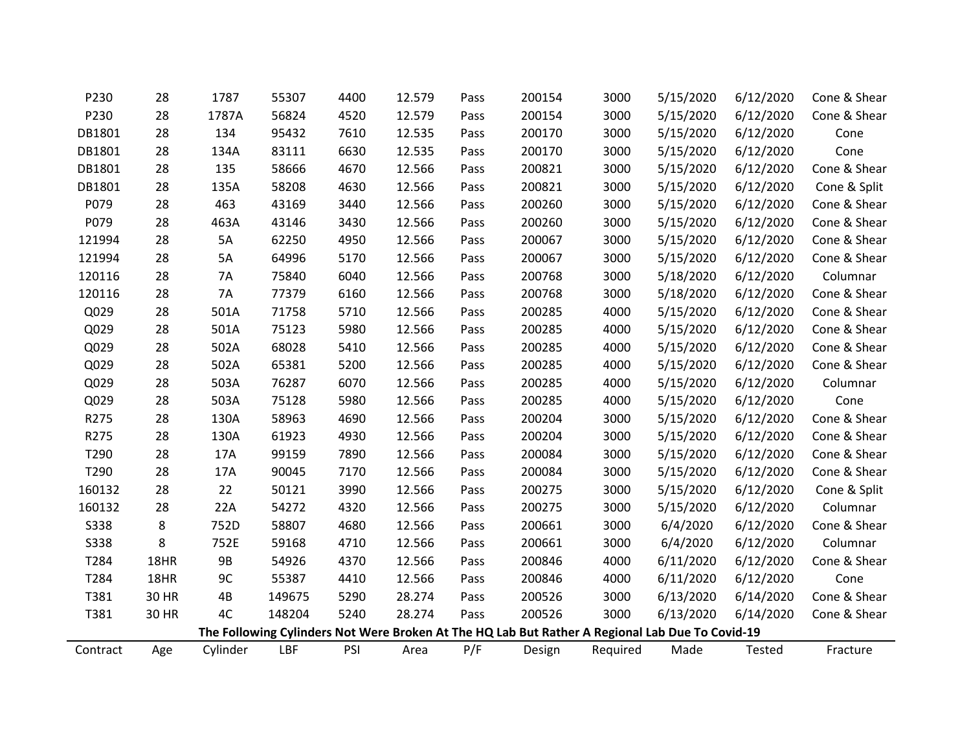| P230        | 28    | 1787      | 55307      | 4400 | 12.579 | Pass | 200154                                                                                          | 3000     | 5/15/2020 | 6/12/2020 | Cone & Shear |
|-------------|-------|-----------|------------|------|--------|------|-------------------------------------------------------------------------------------------------|----------|-----------|-----------|--------------|
| P230        | 28    | 1787A     | 56824      | 4520 | 12.579 | Pass | 200154                                                                                          | 3000     | 5/15/2020 | 6/12/2020 | Cone & Shear |
| DB1801      | 28    | 134       | 95432      | 7610 | 12.535 | Pass | 200170                                                                                          | 3000     | 5/15/2020 | 6/12/2020 | Cone         |
| DB1801      | 28    | 134A      | 83111      | 6630 | 12.535 | Pass | 200170                                                                                          | 3000     | 5/15/2020 | 6/12/2020 | Cone         |
| DB1801      | 28    | 135       | 58666      | 4670 | 12.566 | Pass | 200821                                                                                          | 3000     | 5/15/2020 | 6/12/2020 | Cone & Shear |
| DB1801      | 28    | 135A      | 58208      | 4630 | 12.566 | Pass | 200821                                                                                          | 3000     | 5/15/2020 | 6/12/2020 | Cone & Split |
| P079        | 28    | 463       | 43169      | 3440 | 12.566 | Pass | 200260                                                                                          | 3000     | 5/15/2020 | 6/12/2020 | Cone & Shear |
| P079        | 28    | 463A      | 43146      | 3430 | 12.566 | Pass | 200260                                                                                          | 3000     | 5/15/2020 | 6/12/2020 | Cone & Shear |
| 121994      | 28    | 5A        | 62250      | 4950 | 12.566 | Pass | 200067                                                                                          | 3000     | 5/15/2020 | 6/12/2020 | Cone & Shear |
| 121994      | 28    | 5A        | 64996      | 5170 | 12.566 | Pass | 200067                                                                                          | 3000     | 5/15/2020 | 6/12/2020 | Cone & Shear |
| 120116      | 28    | 7A        | 75840      | 6040 | 12.566 | Pass | 200768                                                                                          | 3000     | 5/18/2020 | 6/12/2020 | Columnar     |
| 120116      | 28    | 7A        | 77379      | 6160 | 12.566 | Pass | 200768                                                                                          | 3000     | 5/18/2020 | 6/12/2020 | Cone & Shear |
| Q029        | 28    | 501A      | 71758      | 5710 | 12.566 | Pass | 200285                                                                                          | 4000     | 5/15/2020 | 6/12/2020 | Cone & Shear |
| Q029        | 28    | 501A      | 75123      | 5980 | 12.566 | Pass | 200285                                                                                          | 4000     | 5/15/2020 | 6/12/2020 | Cone & Shear |
| Q029        | 28    | 502A      | 68028      | 5410 | 12.566 | Pass | 200285                                                                                          | 4000     | 5/15/2020 | 6/12/2020 | Cone & Shear |
| Q029        | 28    | 502A      | 65381      | 5200 | 12.566 | Pass | 200285                                                                                          | 4000     | 5/15/2020 | 6/12/2020 | Cone & Shear |
| Q029        | 28    | 503A      | 76287      | 6070 | 12.566 | Pass | 200285                                                                                          | 4000     | 5/15/2020 | 6/12/2020 | Columnar     |
| Q029        | 28    | 503A      | 75128      | 5980 | 12.566 | Pass | 200285                                                                                          | 4000     | 5/15/2020 | 6/12/2020 | Cone         |
| R275        | 28    | 130A      | 58963      | 4690 | 12.566 | Pass | 200204                                                                                          | 3000     | 5/15/2020 | 6/12/2020 | Cone & Shear |
| R275        | 28    | 130A      | 61923      | 4930 | 12.566 | Pass | 200204                                                                                          | 3000     | 5/15/2020 | 6/12/2020 | Cone & Shear |
| T290        | 28    | 17A       | 99159      | 7890 | 12.566 | Pass | 200084                                                                                          | 3000     | 5/15/2020 | 6/12/2020 | Cone & Shear |
| T290        | 28    | 17A       | 90045      | 7170 | 12.566 | Pass | 200084                                                                                          | 3000     | 5/15/2020 | 6/12/2020 | Cone & Shear |
| 160132      | 28    | 22        | 50121      | 3990 | 12.566 | Pass | 200275                                                                                          | 3000     | 5/15/2020 | 6/12/2020 | Cone & Split |
| 160132      | 28    | 22A       | 54272      | 4320 | 12.566 | Pass | 200275                                                                                          | 3000     | 5/15/2020 | 6/12/2020 | Columnar     |
| <b>S338</b> | 8     | 752D      | 58807      | 4680 | 12.566 | Pass | 200661                                                                                          | 3000     | 6/4/2020  | 6/12/2020 | Cone & Shear |
| S338        | 8     | 752E      | 59168      | 4710 | 12.566 | Pass | 200661                                                                                          | 3000     | 6/4/2020  | 6/12/2020 | Columnar     |
| T284        | 18HR  | <b>9B</b> | 54926      | 4370 | 12.566 | Pass | 200846                                                                                          | 4000     | 6/11/2020 | 6/12/2020 | Cone & Shear |
| T284        | 18HR  | 9C        | 55387      | 4410 | 12.566 | Pass | 200846                                                                                          | 4000     | 6/11/2020 | 6/12/2020 | Cone         |
| T381        | 30 HR | 4B        | 149675     | 5290 | 28.274 | Pass | 200526                                                                                          | 3000     | 6/13/2020 | 6/14/2020 | Cone & Shear |
| T381        | 30 HR | 4C        | 148204     | 5240 | 28.274 | Pass | 200526                                                                                          | 3000     | 6/13/2020 | 6/14/2020 | Cone & Shear |
|             |       |           |            |      |        |      | The Following Cylinders Not Were Broken At The HQ Lab But Rather A Regional Lab Due To Covid-19 |          |           |           |              |
| Contract    | Age   | Cylinder  | <b>LBF</b> | PSI  | Area   | P/F  | Design                                                                                          | Required | Made      | Tested    | Fracture     |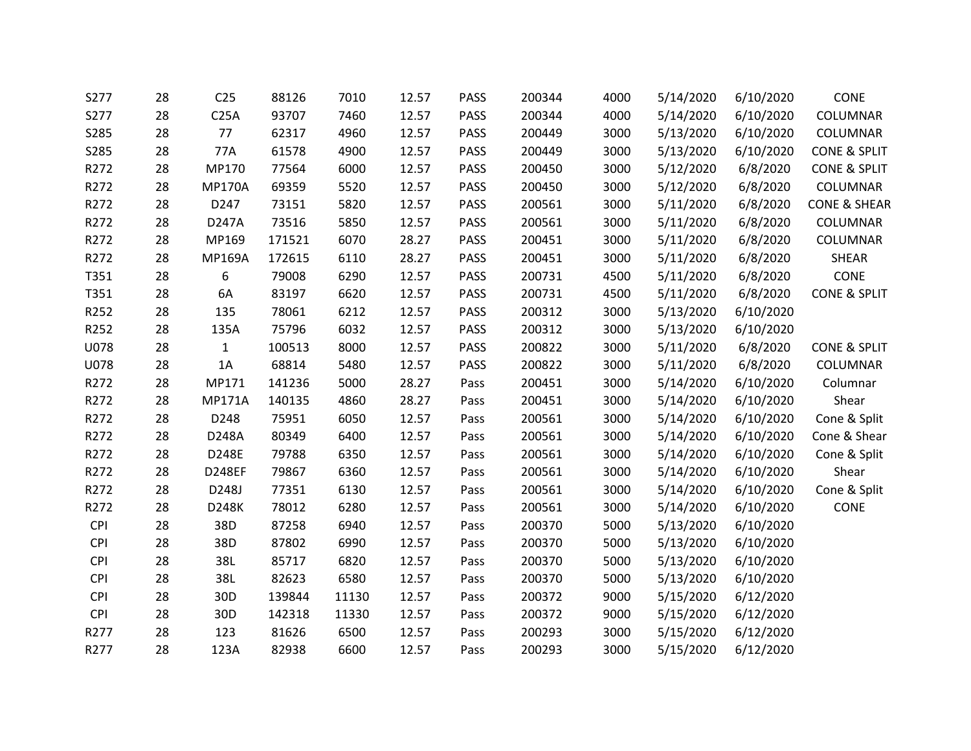| S277        | 28 | C <sub>25</sub> | 88126  | 7010  | 12.57 | <b>PASS</b> | 200344 | 4000 | 5/14/2020 | 6/10/2020 | CONE                    |
|-------------|----|-----------------|--------|-------|-------|-------------|--------|------|-----------|-----------|-------------------------|
| S277        | 28 | C25A            | 93707  | 7460  | 12.57 | PASS        | 200344 | 4000 | 5/14/2020 | 6/10/2020 | COLUMNAR                |
| S285        | 28 | 77              | 62317  | 4960  | 12.57 | PASS        | 200449 | 3000 | 5/13/2020 | 6/10/2020 | COLUMNAR                |
| S285        | 28 | 77A             | 61578  | 4900  | 12.57 | PASS        | 200449 | 3000 | 5/13/2020 | 6/10/2020 | <b>CONE &amp; SPLIT</b> |
| R272        | 28 | MP170           | 77564  | 6000  | 12.57 | PASS        | 200450 | 3000 | 5/12/2020 | 6/8/2020  | <b>CONE &amp; SPLIT</b> |
| R272        | 28 | <b>MP170A</b>   | 69359  | 5520  | 12.57 | <b>PASS</b> | 200450 | 3000 | 5/12/2020 | 6/8/2020  | COLUMNAR                |
| R272        | 28 | D247            | 73151  | 5820  | 12.57 | <b>PASS</b> | 200561 | 3000 | 5/11/2020 | 6/8/2020  | <b>CONE &amp; SHEAR</b> |
| R272        | 28 | D247A           | 73516  | 5850  | 12.57 | <b>PASS</b> | 200561 | 3000 | 5/11/2020 | 6/8/2020  | COLUMNAR                |
| R272        | 28 | MP169           | 171521 | 6070  | 28.27 | PASS        | 200451 | 3000 | 5/11/2020 | 6/8/2020  | COLUMNAR                |
| R272        | 28 | <b>MP169A</b>   | 172615 | 6110  | 28.27 | PASS        | 200451 | 3000 | 5/11/2020 | 6/8/2020  | <b>SHEAR</b>            |
| T351        | 28 | 6               | 79008  | 6290  | 12.57 | <b>PASS</b> | 200731 | 4500 | 5/11/2020 | 6/8/2020  | CONE                    |
| T351        | 28 | 6A              | 83197  | 6620  | 12.57 | PASS        | 200731 | 4500 | 5/11/2020 | 6/8/2020  | <b>CONE &amp; SPLIT</b> |
| R252        | 28 | 135             | 78061  | 6212  | 12.57 | <b>PASS</b> | 200312 | 3000 | 5/13/2020 | 6/10/2020 |                         |
| R252        | 28 | 135A            | 75796  | 6032  | 12.57 | PASS        | 200312 | 3000 | 5/13/2020 | 6/10/2020 |                         |
| <b>U078</b> | 28 | $\mathbf{1}$    | 100513 | 8000  | 12.57 | PASS        | 200822 | 3000 | 5/11/2020 | 6/8/2020  | <b>CONE &amp; SPLIT</b> |
| <b>U078</b> | 28 | 1A              | 68814  | 5480  | 12.57 | PASS        | 200822 | 3000 | 5/11/2020 | 6/8/2020  | COLUMNAR                |
| R272        | 28 | MP171           | 141236 | 5000  | 28.27 | Pass        | 200451 | 3000 | 5/14/2020 | 6/10/2020 | Columnar                |
| R272        | 28 | <b>MP171A</b>   | 140135 | 4860  | 28.27 | Pass        | 200451 | 3000 | 5/14/2020 | 6/10/2020 | Shear                   |
| R272        | 28 | D248            | 75951  | 6050  | 12.57 | Pass        | 200561 | 3000 | 5/14/2020 | 6/10/2020 | Cone & Split            |
| R272        | 28 | D248A           | 80349  | 6400  | 12.57 | Pass        | 200561 | 3000 | 5/14/2020 | 6/10/2020 | Cone & Shear            |
| R272        | 28 | D248E           | 79788  | 6350  | 12.57 | Pass        | 200561 | 3000 | 5/14/2020 | 6/10/2020 | Cone & Split            |
| R272        | 28 | <b>D248EF</b>   | 79867  | 6360  | 12.57 | Pass        | 200561 | 3000 | 5/14/2020 | 6/10/2020 | Shear                   |
| R272        | 28 | D248J           | 77351  | 6130  | 12.57 | Pass        | 200561 | 3000 | 5/14/2020 | 6/10/2020 | Cone & Split            |
| R272        | 28 | D248K           | 78012  | 6280  | 12.57 | Pass        | 200561 | 3000 | 5/14/2020 | 6/10/2020 | CONE                    |
| <b>CPI</b>  | 28 | 38D             | 87258  | 6940  | 12.57 | Pass        | 200370 | 5000 | 5/13/2020 | 6/10/2020 |                         |
| <b>CPI</b>  | 28 | 38D             | 87802  | 6990  | 12.57 | Pass        | 200370 | 5000 | 5/13/2020 | 6/10/2020 |                         |
| <b>CPI</b>  | 28 | 38L             | 85717  | 6820  | 12.57 | Pass        | 200370 | 5000 | 5/13/2020 | 6/10/2020 |                         |
| <b>CPI</b>  | 28 | 38L             | 82623  | 6580  | 12.57 | Pass        | 200370 | 5000 | 5/13/2020 | 6/10/2020 |                         |
| <b>CPI</b>  | 28 | 30 <sub>D</sub> | 139844 | 11130 | 12.57 | Pass        | 200372 | 9000 | 5/15/2020 | 6/12/2020 |                         |
| <b>CPI</b>  | 28 | 30 <sub>D</sub> | 142318 | 11330 | 12.57 | Pass        | 200372 | 9000 | 5/15/2020 | 6/12/2020 |                         |
| R277        | 28 | 123             | 81626  | 6500  | 12.57 | Pass        | 200293 | 3000 | 5/15/2020 | 6/12/2020 |                         |
| R277        | 28 | 123A            | 82938  | 6600  | 12.57 | Pass        | 200293 | 3000 | 5/15/2020 | 6/12/2020 |                         |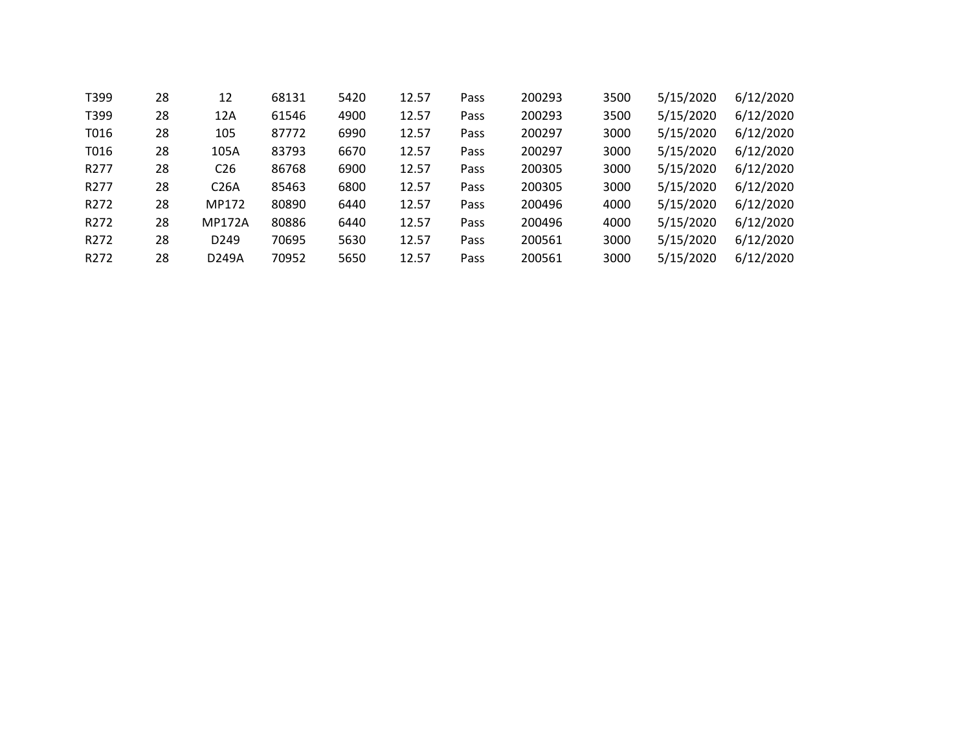| T399             | 28 | 12                | 68131 | 5420 | 12.57 | Pass | 200293 | 3500 | 5/15/2020 | 6/12/2020 |
|------------------|----|-------------------|-------|------|-------|------|--------|------|-----------|-----------|
| T399             | 28 | 12A               | 61546 | 4900 | 12.57 | Pass | 200293 | 3500 | 5/15/2020 | 6/12/2020 |
| T016             | 28 | 105               | 87772 | 6990 | 12.57 | Pass | 200297 | 3000 | 5/15/2020 | 6/12/2020 |
| T016             | 28 | 105A              | 83793 | 6670 | 12.57 | Pass | 200297 | 3000 | 5/15/2020 | 6/12/2020 |
| R <sub>277</sub> | 28 | C <sub>26</sub>   | 86768 | 6900 | 12.57 | Pass | 200305 | 3000 | 5/15/2020 | 6/12/2020 |
| R <sub>277</sub> | 28 | C <sub>26</sub> A | 85463 | 6800 | 12.57 | Pass | 200305 | 3000 | 5/15/2020 | 6/12/2020 |
| R272             | 28 | MP172             | 80890 | 6440 | 12.57 | Pass | 200496 | 4000 | 5/15/2020 | 6/12/2020 |
| R <sub>272</sub> | 28 | <b>MP172A</b>     | 80886 | 6440 | 12.57 | Pass | 200496 | 4000 | 5/15/2020 | 6/12/2020 |
| R <sub>272</sub> | 28 | D <sub>249</sub>  | 70695 | 5630 | 12.57 | Pass | 200561 | 3000 | 5/15/2020 | 6/12/2020 |
| R272             | 28 | D249A             | 70952 | 5650 | 12.57 | Pass | 200561 | 3000 | 5/15/2020 | 6/12/2020 |